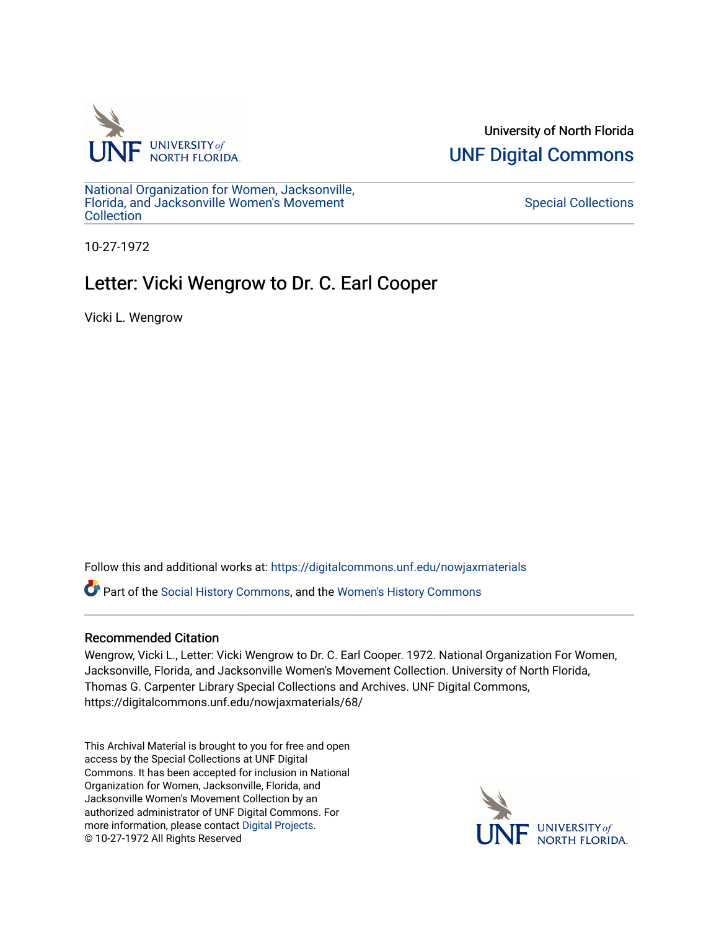

University of North Florida [UNF Digital Commons](https://digitalcommons.unf.edu/) 

[National Organization for Women, Jacksonville,](https://digitalcommons.unf.edu/nowjaxmaterials) [Florida, and Jacksonville Women's Movement](https://digitalcommons.unf.edu/nowjaxmaterials) **Collection** 

[Special Collections](https://digitalcommons.unf.edu/special_collections) 

10-27-1972

## Letter: Vicki Wengrow to Dr. C. Earl Cooper

Vicki L. Wengrow

Follow this and additional works at: [https://digitalcommons.unf.edu/nowjaxmaterials](https://digitalcommons.unf.edu/nowjaxmaterials?utm_source=digitalcommons.unf.edu%2Fnowjaxmaterials%2F68&utm_medium=PDF&utm_campaign=PDFCoverPages) 

Part of the [Social History Commons](http://network.bepress.com/hgg/discipline/506?utm_source=digitalcommons.unf.edu%2Fnowjaxmaterials%2F68&utm_medium=PDF&utm_campaign=PDFCoverPages), and the [Women's History Commons](http://network.bepress.com/hgg/discipline/507?utm_source=digitalcommons.unf.edu%2Fnowjaxmaterials%2F68&utm_medium=PDF&utm_campaign=PDFCoverPages)

## Recommended Citation

Wengrow, Vicki L., Letter: Vicki Wengrow to Dr. C. Earl Cooper. 1972. National Organization For Women, Jacksonville, Florida, and Jacksonville Women's Movement Collection. University of North Florida, Thomas G. Carpenter Library Special Collections and Archives. UNF Digital Commons, https://digitalcommons.unf.edu/nowjaxmaterials/68/

This Archival Material is brought to you for free and open access by the Special Collections at UNF Digital Commons. It has been accepted for inclusion in National Organization for Women, Jacksonville, Florida, and Jacksonville Women's Movement Collection by an authorized administrator of UNF Digital Commons. For more information, please contact [Digital Projects](mailto:lib-digital@unf.edu). © 10-27-1972 All Rights Reserved

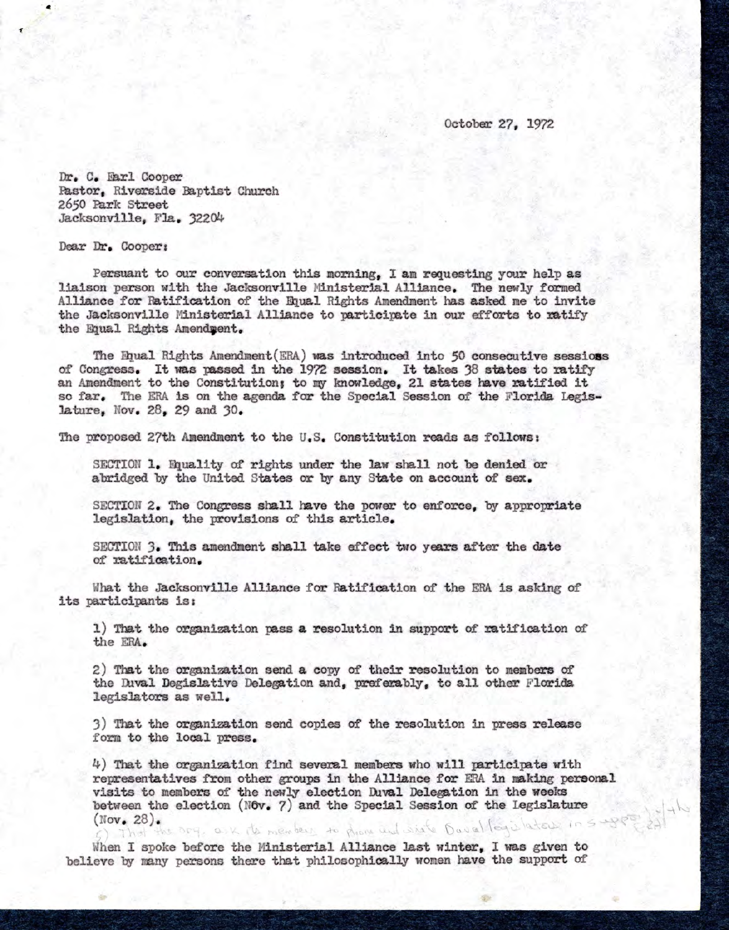October 27, 1972

Dr. C. Earl Cooper Pastor, Riverside Baptist Church 2650 Park Street Jacksonville, Fla. 32204

Dear Dr. Cooper :

Persuant to our conversation this morning, I am requesting your help as liaison person with the Jacksonville Ministerial Alliance. The newly formed Alliance for Ratification of the Equal Rights Amendment has asked me to invite the Jacksonville Ministerial Alliance to participate in our efforts to ratify the Equal Rights Amendment.

The Equal Rights Amendment(ERA) was introduced. into 50 consecutive **sessions** of Congress. It was passed in the 1972 session. It takes 38 states to ratify an Amendment to the Constitution; to my knowledge, 21 states have ratified it so far. The ERA is on the agenda for the Special Session of the Florida Legislature, Nov. 28, 29 and 30.

The proposed 27th Amendment to the U.S. Constitution reads as follows:

SECTION 1. Equality of rights under the law shall not be denied or abridged by the United States or by any State on account of **sex.** 

SECTION 2. The Congress shall have the power to enforce, by appropriate legislation, the provisions of this article.

SECTION 3. This amendment shall take effect two years after the date of ratification.

What the Jacksonville Alliance for Ratification of the ERA is asking of its participants is:

1) That the organization pass a resolution in support of ratification of the ERA.

2) That the organization send a copy of their resolution to members of the Duval Degislative Delegation and, preferably, to all other Florida legislators as well.

3) That the organization send copies of the resolution in press release form to the local press.

 $4)$  That the organization find several members who will participate with representatives from other groups in the Alliance for ERA in making personal visits to members of the newly election Duval Delegation in the weeks between the election (Nov.  $7$ ) and the Special Session of the Legislature  $(Nov, 28)$ . That the Dry, ask its members to phone and sixts Davalley ilators

When I spoke before the Ministerial Alliance last winter, I was given to believe by many persons there that philosophically women have the support of